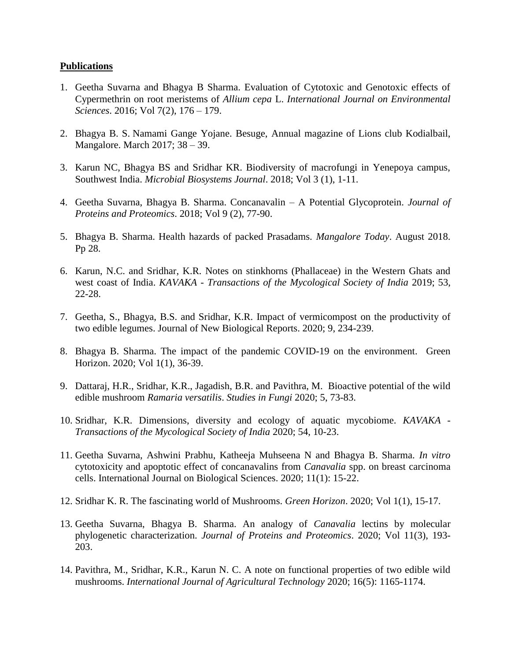## **Publications**

- 1. Geetha Suvarna and Bhagya B Sharma. Evaluation of Cytotoxic and Genotoxic effects of Cypermethrin on root meristems of *Allium cepa* L. *International Journal on Environmental Sciences*. 2016; Vol 7(2), 176 – 179.
- 2. Bhagya B. S. Namami Gange Yojane. Besuge, Annual magazine of Lions club Kodialbail, Mangalore. March 2017; 38 – 39.
- 3. Karun NC, Bhagya BS and Sridhar KR. Biodiversity of macrofungi in Yenepoya campus, Southwest India. *Microbial Biosystems Journal*. 2018; Vol 3 (1), 1-11.
- 4. Geetha Suvarna, Bhagya B. Sharma. Concanavalin A Potential Glycoprotein. *Journal of Proteins and Proteomics*. 2018; Vol 9 (2), 77-90.
- 5. Bhagya B. Sharma. Health hazards of packed Prasadams. *Mangalore Today*. August 2018. Pp 28.
- 6. Karun, N.C. and Sridhar, K.R. Notes on stinkhorns (Phallaceae) in the Western Ghats and west coast of India. *KAVAKA - Transactions of the Mycological Society of India* 2019; 53, 22-28.
- 7. Geetha, S., Bhagya, B.S. and Sridhar, K.R. Impact of vermicompost on the productivity of two edible legumes. Journal of New Biological Reports. 2020; 9, 234-239.
- 8. Bhagya B. Sharma. The impact of the pandemic COVID-19 on the environment. Green Horizon. 2020; Vol 1(1), 36-39.
- 9. Dattaraj, H.R., Sridhar, K.R., Jagadish, B.R. and Pavithra, M. Bioactive potential of the wild edible mushroom *Ramaria versatilis*. *Studies in Fungi* 2020; 5, 73-83.
- 10. Sridhar, K.R. Dimensions, diversity and ecology of aquatic mycobiome. *KAVAKA - Transactions of the Mycological Society of India* 2020; 54, 10-23.
- 11. Geetha Suvarna, Ashwini Prabhu, Katheeja Muhseena N and Bhagya B. Sharma. *In vitro* cytotoxicity and apoptotic effect of concanavalins from *Canavalia* spp. on breast carcinoma cells. International Journal on Biological Sciences. 2020; 11(1): 15-22.
- 12. Sridhar K. R. The fascinating world of Mushrooms. *Green Horizon*. 2020; Vol 1(1), 15-17.
- 13. Geetha Suvarna, Bhagya B. Sharma. An analogy of *Canavalia* lectins by molecular phylogenetic characterization. *Journal of Proteins and Proteomics*. 2020; Vol 11(3), 193- 203.
- 14. Pavithra, M., Sridhar, K.R., Karun N. C. A note on functional properties of two edible wild mushrooms. *International Journal of Agricultural Technology* 2020; 16(5): 1165-1174.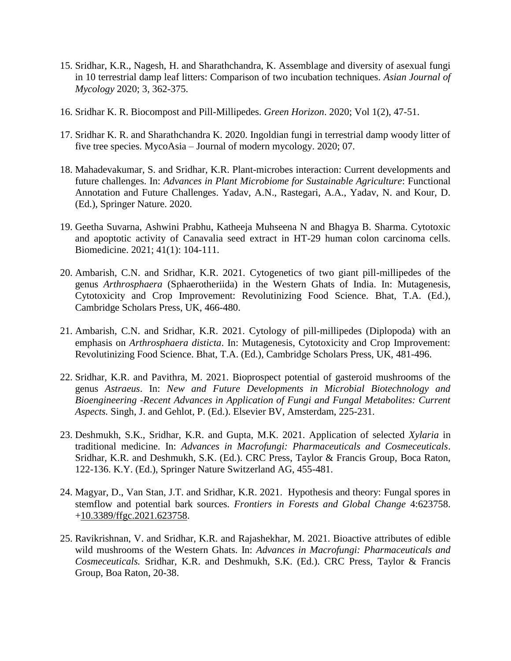- 15. Sridhar, K.R., Nagesh, H. and Sharathchandra, K. Assemblage and diversity of asexual fungi in 10 terrestrial damp leaf litters: Comparison of two incubation techniques. *Asian Journal of Mycology* 2020; 3, 362-375.
- 16. Sridhar K. R. Biocompost and Pill-Millipedes. *Green Horizon*. 2020; Vol 1(2), 47-51.
- 17. Sridhar K. R. and Sharathchandra K. 2020. Ingoldian fungi in terrestrial damp woody litter of five tree species. MycoAsia – Journal of modern mycology. 2020; 07.
- 18. Mahadevakumar, S. and Sridhar, K.R. Plant-microbes interaction: Current developments and future challenges. In: *Advances in Plant Microbiome for Sustainable Agriculture*: Functional Annotation and Future Challenges. Yadav, A.N., Rastegari, A.A., Yadav, N. and Kour, D. (Ed.), Springer Nature. 2020.
- 19. Geetha Suvarna, Ashwini Prabhu, Katheeja Muhseena N and Bhagya B. Sharma. Cytotoxic and apoptotic activity of Canavalia seed extract in HT-29 human colon carcinoma cells. Biomedicine. 2021; 41(1): 104-111.
- 20. Ambarish, C.N. and Sridhar, K.R. 2021. Cytogenetics of two giant pill-millipedes of the genus *Arthrosphaera* (Sphaerotheriida) in the Western Ghats of India. In: Mutagenesis, Cytotoxicity and Crop Improvement: Revolutinizing Food Science. Bhat, T.A. (Ed.), Cambridge Scholars Press, UK, 466-480.
- 21. Ambarish, C.N. and Sridhar, K.R. 2021. Cytology of pill-millipedes (Diplopoda) with an emphasis on *Arthrosphaera disticta*. In: Mutagenesis, Cytotoxicity and Crop Improvement: Revolutinizing Food Science. Bhat, T.A. (Ed.), Cambridge Scholars Press, UK, 481-496.
- 22. Sridhar, K.R. and Pavithra, M. 2021. Bioprospect potential of gasteroid mushrooms of the genus *Astraeus*. In: *New and Future Developments in Microbial Biotechnology and Bioengineering -Recent Advances in Application of Fungi and Fungal Metabolites: Current Aspects.* Singh, J. and Gehlot, P. (Ed.). Elsevier BV, Amsterdam, 225-231.
- 23. Deshmukh, S.K., Sridhar, K.R. and Gupta, M.K. 2021. Application of selected *Xylaria* in traditional medicine. In: *Advances in Macrofungi: Pharmaceuticals and Cosmeceuticals*. Sridhar, K.R. and Deshmukh, S.K. (Ed.). CRC Press, Taylor & Francis Group, Boca Raton, 122-136. K.Y. (Ed.), Springer Nature Switzerland AG, 455-481.
- 24. Magyar, D., Van Stan, J.T. and Sridhar, K.R. 2021. Hypothesis and theory: Fungal spores in stemflow and potential bark sources. *Frontiers in Forests and Global Change* 4:623758. [+10.3389/ffgc.2021.623758.](https://www.researchgate.net/deref/http%3A%2F%2Fdx.doi.org%2F10.3389%2Fffgc.2021.623758?_sg%5B0%5D=iQJksnItKQxSjpj-QM_-v9Gjnj_qrTQJuTv6t5OEBcTxOeu7UKQyPX48GDSOuBGcXOmQDVSXsKH0QXsRRy4r8A_ARA.31Tr73iIEg0hiv1slI9f8HS6mpxVfA5kcX15VZqNaQ_ugR1bU4koDfXK3qd498DVMO9cyYf9tgf1p_Z48LaxEQ)
- 25. Ravikrishnan, V. and Sridhar, K.R. and Rajashekhar, M. 2021. Bioactive attributes of edible wild mushrooms of the Western Ghats. In: *Advances in Macrofungi: Pharmaceuticals and Cosmeceuticals.* Sridhar, K.R. and Deshmukh, S.K. (Ed.). CRC Press, Taylor & Francis Group, Boa Raton, 20-38.